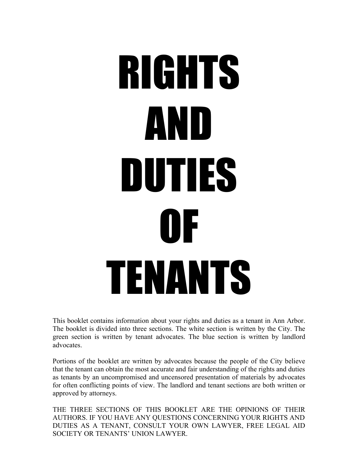# RIGHTS AND DUTIES OF TENANTS

This booklet contains information about your rights and duties as a tenant in Ann Arbor. The booklet is divided into three sections. The white section is written by the City. The green section is written by tenant advocates. The blue section is written by landlord advocates.

Portions of the booklet are written by advocates because the people of the City believe that the tenant can obtain the most accurate and fair understanding of the rights and duties as tenants by an uncompromised and uncensored presentation of materials by advocates for often conflicting points of view. The landlord and tenant sections are both written or approved by attorneys.

THE THREE SECTIONS OF THIS BOOKLET ARE THE OPINIONS OF THEIR AUTHORS. IF YOU HAVE ANY QUESTIONS CONCERNING YOUR RIGHTS AND DUTIES AS A TENANT, CONSULT YOUR OWN LAWYER, FREE LEGAL AID SOCIETY OR TENANTS' UNION LAWYER.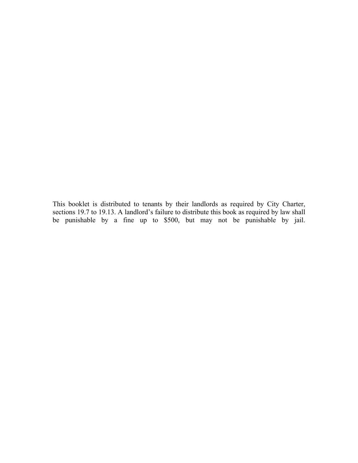This booklet is distributed to tenants by their landlords as required by City Charter, sections 19.7 to 19.13. A landlord's failure to distribute this book as required by law shall be punishable by a fine up to \$500, but may not be punishable by jail.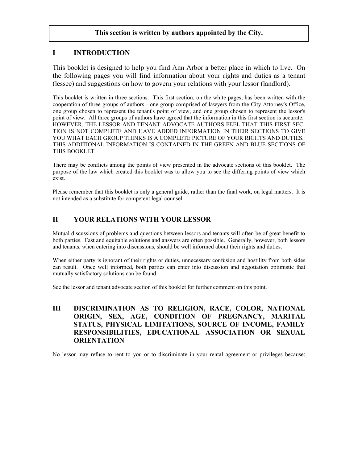## **This section is written by authors appointed by the City.**

# **I INTRODUCTION**

This booklet is designed to help you find Ann Arbor a better place in which to live. On the following pages you will find information about your rights and duties as a tenant (lessee) and suggestions on how to govern your relations with your lessor (landlord).

This booklet is written in three sections. This first section, on the white pages, has been written with the cooperation of three groups of authors - one group comprised of lawyers from the City Attorney's Office, one group chosen to represent the tenant's point of view, and one group chosen to represent the lessor's point of view. All three groups of authors have agreed that the information in this first section is accurate. HOWEVER, THE LESSOR AND TENANT ADVOCATE AUTHORS FEEL THAT THIS FIRST SEC-TION IS NOT COMPLETE AND HAVE ADDED INFORMATION IN THEIR SECTIONS TO GIVE YOU WHAT EACH GROUP THINKS IS A COMPLETE PICTURE OF YOUR RIGHTS AND DUTIES. THIS ADDITIONAL INFORMATION IS CONTAINED IN THE GREEN AND BLUE SECTIONS OF THIS BOOKLET.

There may be conflicts among the points of view presented in the advocate sections of this booklet. The purpose of the law which created this booklet was to allow you to see the differing points of view which exist.

Please remember that this booklet is only a general guide, rather than the final work, on legal matters. It is not intended as a substitute for competent legal counsel.

# **II YOUR RELATIONS WITH YOUR LESSOR**

Mutual discussions of problems and questions between lessors and tenants will often be of great benefit to both parties. Fast and equitable solutions and answers are often possible. Generally, however, both lessors and tenants, when entering into discussions, should be well informed about their rights and duties.

When either party is ignorant of their rights or duties, unnecessary confusion and hostility from both sides can result. Once well informed, both parties can enter into discussion and negotiation optimistic that mutually satisfactory solutions can be found.

See the lessor and tenant advocate section of this booklet for further comment on this point.

# **III DISCRIMINATION AS TO RELIGION, RACE, COLOR, NATIONAL ORIGIN, SEX, AGE, CONDITION OF PREGNANCY, MARITAL STATUS, PHYSICAL LIMITATIONS, SOURCE OF INCOME, FAMILY RESPONSIBILITIES, EDUCATIONAL ASSOCIATION OR SEXUAL ORIENTATION**

No lessor may refuse to rent to you or to discriminate in your rental agreement or privileges because: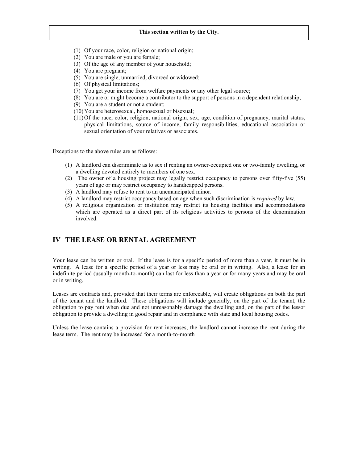- (1) Of your race, color, religion or national origin;
- (2) You are male or you are female;
- (3) Of the age of any member of your household;
- (4) You are pregnant;
- (5) You are single, unmarried, divorced or widowed;
- (6) Of physical limitations;
- (7) You get your income from welfare payments or any other legal source;
- (8) You are or might become a contributor to the support of persons in a dependent relationship;
- (9) You are a student or not a student;
- (10)You are heterosexual, homosexual or bisexual;
- (11)Of the race, color, religion, national origin, sex, age, condition of pregnancy, marital status, physical limitations, source of income, family responsibilities, educational association or sexual orientation of your relatives or associates.

Exceptions to the above rules are as follows:

- (1) A landlord can discriminate as to sex if renting an owner-occupied one or two-family dwelling, or a dwelling devoted entirely to members of one sex.
- (2) The owner of a housing project may legally restrict occupancy to persons over fifty-five (55) years of age or may restrict occupancy to handicapped persons.
- (3) A landlord may refuse to rent to an unemancipated minor.
- (4) A landlord may restrict occupancy based on age when such discrimination is *required* by law.
- (5) A religious organization or institution may restrict its housing facilities and accommodations which are operated as a direct part of its religious activities to persons of the denomination involved.

## **IV THE LEASE OR RENTAL AGREEMENT**

Your lease can be written or oral. If the lease is for a specific period of more than a year, it must be in writing. A lease for a specific period of a year or less may be oral or in writing. Also, a lease for an indefinite period (usually month-to-month) can last for less than a year or for many years and may be oral or in writing.

Leases are contracts and, provided that their terms are enforceable, will create obligations on both the part of the tenant and the landlord. These obligations will include generally, on the part of the tenant, the obligation to pay rent when due and not unreasonably damage the dwelling and, on the part of the lessor obligation to provide a dwelling in good repair and in compliance with state and local housing codes.

Unless the lease contains a provision for rent increases, the landlord cannot increase the rent during the lease term. The rent may be increased for a month-to-month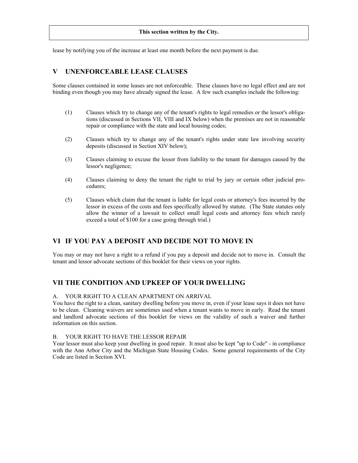lease by notifying you of the increase at least one month before the next payment is due.

# **V UNENFORCEABLE LEASE CLAUSES**

Some clauses contained in some leases are not enforceable. These clauses have no legal effect and are not binding even though you may have already signed the lease. A few such examples include the following:

- (1) Clauses which try to change any of the tenant's rights to legal remedies or the lessor's obligations (discussed in Sections VII, VIII and IX below) when the premises are not in reasonable repair or compliance with the state and local housing codes;
- (2) Clauses which try to change any of the tenant's rights under state law involving security deposits (discussed in Section XIV below);
- (3) Clauses claiming to excuse the lessor from liability to the tenant for damages caused by the lessor's negligence;
- (4) Clauses claiming to deny the tenant the right to trial by jury or certain other judicial procedures;
- (5) Clauses which claim that the tenant is liable for legal costs or attorney's fees incurred by the lessor in excess of the costs and fees specifically allowed by statute. (The State statutes only allow the winner of a lawsuit to collect small legal costs and attorney fees which rarely exceed a total of \$100 for a case going through trial.)

# **VI IF YOU PAY A DEPOSIT AND DECIDE NOT TO MOVE IN**

You may or may not have a right to a refund if you pay a deposit and decide not to move in. Consult the tenant and lessor advocate sections of this booklet for their views on your rights.

# **VII THE CONDITION AND UPKEEP OF YOUR DWELLING**

#### A. YOUR RIGHT TO A CLEAN APARTMENT ON ARRIVAL

You have the right to a clean, sanitary dwelling before you move in, even if your lease says it does not have to be clean. Cleaning waivers are sometimes used when a tenant wants to move in early. Read the tenant and landlord advocate sections of this booklet for views on the validity of such a waiver and further information on this section.

#### B. YOUR RIGHT TO HAVE THE LESSOR REPAIR

Your lessor must also keep your dwelling in good repair. It must also be kept "up to Code" - in compliance with the Ann Arbor City and the Michigan State Housing Codes. Some general requirements of the City Code are listed in Section XVI.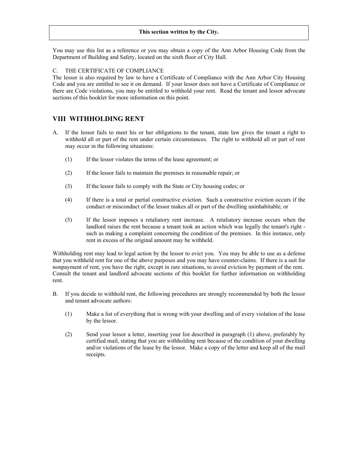You may use this list as a reference or you may obtain a copy of the Ann Arbor Housing Code from the Department of Building and Safety, located on the sixth floor of City Hall.

## C. THE CERTIFICATE OF COMPLIANCE

The lessor is also required by law to have a Certificate of Compliance with the Ann Arbor City Housing Code and you are entitled to see it on demand. If your lessor does not have a Certificate of Compliance or there are Code violations, you may be entitled to withhold your rent. Read the tenant and lessor advocate sections of this booklet for more information on this point.

## **VIII WITHHOLDING RENT**

- A. If the lessor fails to meet his or her obligations to the tenant, state law gives the tenant a right to withhold all or part of the rent under certain circumstances. The right to withhold all or part of rent may occur in the following situations:
	- (1) If the lessor violates the terms of the lease agreement; or
	- (2) If the lessor fails to maintain the premises in reasonable repair; or
	- (3) If the lessor fails to comply with the State or City housing codes; or
	- (4) If there is a total or partial constructive eviction. Such a constructive eviction occurs if the conduct or misconduct of the lessor makes all or part of the dwelling uninhabitable; or
	- (5) If the lessor imposes a retaliatory rent increase. A retaliatory increase occurs when the landlord raises the rent because a tenant took an action which was legally the tenant's right such as making a complaint concerning the condition of the premises. In this instance, only rent in excess of the original amount may be withheld.

Withholding rent may lead to legal action by the lessor to evict you. You may be able to use as a defense that you withheld rent for one of the above purposes and you may have counter-claims. If there is a suit for nonpayment of rent, you have the right, except in rare situations, to avoid eviction by payment of the rent. Consult the tenant and landlord advocate sections of this booklet for further information on withholding rent.

- B. If you decide to withhold rent, the following procedures are strongly recommended by both the lessor and tenant advocate authors:
	- (1) Make a list of everything that is wrong with your dwelling and of every violation of the lease by the lessor.
	- (2) Send your lessor a letter, inserting your list described in paragraph (1) above, preferably by certified mail, stating that you are withholding rent because of the condition of your dwelling and/or violations of the lease by the lessor. Make a copy of the letter and keep all of the mail receipts.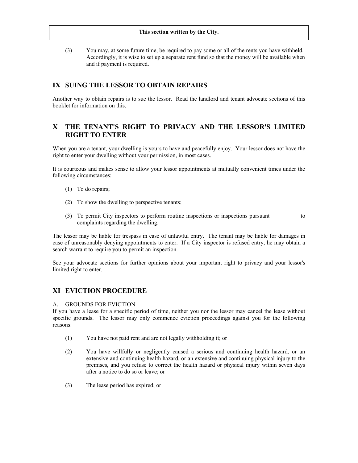(3) You may, at some future time, be required to pay some or all of the rents you have withheld. Accordingly, it is wise to set up a separate rent fund so that the money will be available when and if payment is required.

# **IX SUING THE LESSOR TO OBTAIN REPAIRS**

Another way to obtain repairs is to sue the lessor. Read the landlord and tenant advocate sections of this booklet for information on this.

# **X THE TENANT'S RIGHT TO PRIVACY AND THE LESSOR'S LIMITED RIGHT TO ENTER**

When you are a tenant, your dwelling is yours to have and peacefully enjoy. Your lessor does not have the right to enter your dwelling without your permission, in most cases.

It is courteous and makes sense to allow your lessor appointments at mutually convenient times under the following circumstances:

- (1) To do repairs;
- (2) To show the dwelling to perspective tenants;
- (3) To permit City inspectors to perform routine inspections or inspections pursuant to complaints regarding the dwelling.

The lessor may be liable for trespass in case of unlawful entry. The tenant may be liable for damages in case of unreasonably denying appointments to enter. If a City inspector is refused entry, he may obtain a search warrant to require you to permit an inspection.

See your advocate sections for further opinions about your important right to privacy and your lessor's limited right to enter.

## **XI EVICTION PROCEDURE**

#### A. GROUNDS FOR EVICTION

If you have a lease for a specific period of time, neither you nor the lessor may cancel the lease without specific grounds. The lessor may only commence eviction proceedings against you for the following reasons:

- (1) You have not paid rent and are not legally withholding it; or
- (2) You have willfully or negligently caused a serious and continuing health hazard, or an extensive and continuing health hazard, or an extensive and continuing physical injury to the premises, and you refuse to correct the health hazard or physical injury within seven days after a notice to do so or leave; or
- (3) The lease period has expired; or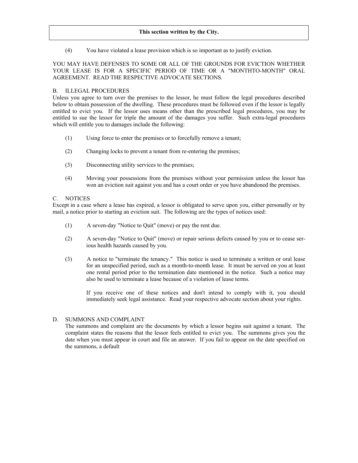(4) You have violated a lease provision which is so important as to justify eviction.

## YOU MAY HAVE DEFENSES TO SOME OR ALL OF THE GROUNDS FOR EVICTION WHETHER YOUR LEASE IS FOR A SPECIFIC PERIOD OF TIME OR A "MONTHTO-MONTH" ORAL AGREEMENT. READ THE RESPECTIVE ADVOCATE SECTIONS.

## B. ILLEGAL PROCEDURES

Unless you agree to turn over the premises to the lessor, he must follow the legal procedures described below to obtain possession of the dwelling. These procedures must be followed even if the lessor is legally entitled to evict you. If the lessor uses means other than the prescribed legal procedures, you may be entitled to sue the lessor for triple the amount of the damages you suffer. Such extra-legal procedures which will entitle you to damages include the following:

- (1) Using force to enter the premises or to forcefully remove a tenant;
- (2) Changing locks to prevent a tenant from re-entering the premises;
- (3) Disconnecting utility services to the premises;
- (4) Moving your possessions from the premises without your permission unless the lessor has won an eviction suit against you and has a court order or you have abandoned the premises.

## C. NOTICES

Except in a case where a lease has expired, a lessor is obligated to serve upon you, either personally or by mail, a notice prior to starting an eviction suit. The following are the types of notices used:

- (1) A seven-day "Notice to Quit" (move) or pay the rent due.
- (2) A seven-day "Notice to Quit" (move) or repair serious defects caused by you or to cease serious health hazards caused by you.
- (3) A notice to "terminate the tenancy." This notice is used to terminate a written or oral lease for an unspecified period, such as a month-to-month lease. It must be served on you at least one rental period prior to the termination date mentioned in the notice. Such a notice may also be used to terminate a lease because of a violation of lease terms.

If you receive one of these notices and don't intend to comply with it, you should immediately seek legal assistance. Read your respective advocate section about your rights.

## D. SUMMONS AND COMPLAINT

The summons and complaint are the documents by which a lessor begins suit against a tenant. The complaint states the reasons that the lessor feels entitled to evict you. The summons gives you the date when you must appear in court and file an answer. If you fail to appear on the date specified on the summons, a default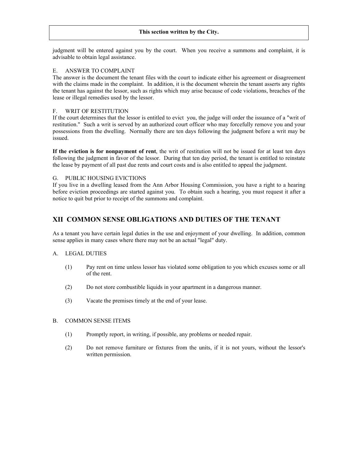judgment will be entered against you by the court. When you receive a summons and complaint, it is advisable to obtain legal assistance.

#### E. ANSWER TO COMPLAINT

The answer is the document the tenant files with the court to indicate either his agreement or disagreement with the claims made in the complaint. In addition, it is the document wherein the tenant asserts any rights the tenant has against the lessor, such as rights which may arise because of code violations, breaches of the lease or illegal remedies used by the lessor.

#### F. WRIT OF RESTITUTION

If the court determines that the lessor is entitled to evict you, the judge will order the issuance of a "writ of restitution." Such a writ is served by an authorized court officer who may forcefully remove you and your possessions from the dwelling. Normally there are ten days following the judgment before a writ may be issued.

**If the eviction is for nonpayment of rent**, the writ of restitution will not be issued for at least ten days following the judgment in favor of the lessor. During that ten day period, the tenant is entitled to reinstate the lease by payment of all past due rents and court costs and is also entitled to appeal the judgment.

## G. PUBLIC HOUSING EVICTIONS

If you live in a dwelling leased from the Ann Arbor Housing Commission, you have a right to a hearing before eviction proceedings are started against you. To obtain such a hearing, you must request it after a notice to quit but prior to receipt of the summons and complaint.

## **XII COMMON SENSE OBLIGATIONS AND DUTIES OF THE TENANT**

As a tenant you have certain legal duties in the use and enjoyment of your dwelling. In addition, common sense applies in many cases where there may not be an actual "legal" duty.

#### A. LEGAL DUTIES

- (1) Pay rent on time unless lessor has violated some obligation to you which excuses some or all of the rent.
- (2) Do not store combustible liquids in your apartment in a dangerous manner.
- (3) Vacate the premises timely at the end of your lease.

#### B. COMMON SENSE ITEMS

- (1) Promptly report, in writing, if possible, any problems or needed repair.
- (2) Do not remove furniture or fixtures from the units, if it is not yours, without the lessor's written permission.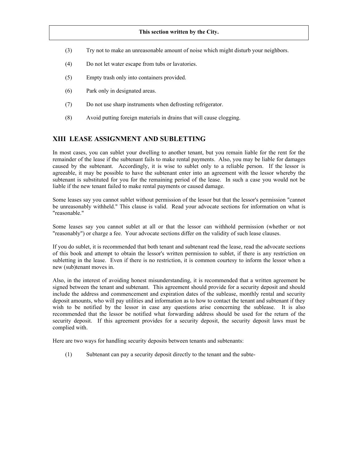- (3) Try not to make an unreasonable amount of noise which might disturb your neighbors.
- (4) Do not let water escape from tubs or lavatories.
- (5) Empty trash only into containers provided.
- (6) Park only in designated areas.
- (7) Do not use sharp instruments when defrosting refrigerator.
- (8) Avoid putting foreign materials in drains that will cause clogging.

## **XIII LEASE ASSIGNMENT AND SUBLETTING**

In most cases, you can sublet your dwelling to another tenant, but you remain liable for the rent for the remainder of the lease if the subtenant fails to make rental payments. Also, you may be liable for damages caused by the subtenant. Accordingly, it is wise to sublet only to a reliable person. If the lessor is agreeable, it may be possible to have the subtenant enter into an agreement with the lessor whereby the subtenant is substituted for you for the remaining period of the lease. In such a case you would not be liable if the new tenant failed to make rental payments or caused damage.

Some leases say you cannot sublet without permission of the lessor but that the lessor's permission "cannot be unreasonably withheld." This clause is valid. Read your advocate sections for information on what is "reasonable."

Some leases say you cannot sublet at all or that the lessor can withhold permission (whether or not "reasonably") or charge a fee. Your advocate sections differ on the validity of such lease clauses.

If you do sublet, it is recommended that both tenant and subtenant read the lease, read the advocate sections of this book and attempt to obtain the lessor's written permission to sublet, if there is any restriction on subletting in the lease. Even if there is no restriction, it is common courtesy to inform the lessor when a new (sub)tenant moves in.

Also, in the interest of avoiding honest misunderstanding, it is recommended that a written agreement be signed between the tenant and subtenant. This agreement should provide for a security deposit and should include the address and commencement and expiration dates of the sublease, monthly rental and security deposit amounts, who will pay utilities and information as to how to contact the tenant and subtenant if they wish to be notified by the lessor in case any questions arise concerning the sublease. It is also recommended that the lessor be notified what forwarding address should be used for the return of the security deposit. If this agreement provides for a security deposit, the security deposit laws must be complied with.

Here are two ways for handling security deposits between tenants and subtenants:

(1) Subtenant can pay a security deposit directly to the tenant and the subte-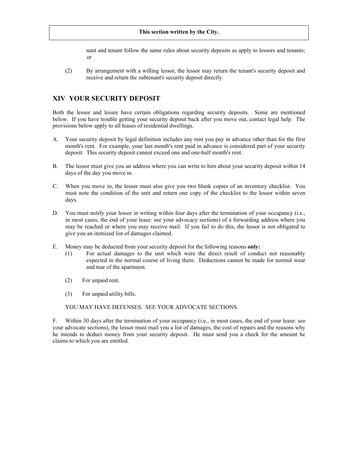nant and tenant follow the same rules about security deposits as apply to lessors and tenants; or

(2) By arrangement with a willing lessor, the lessor may return the tenant's security deposit and receive and return the subtenant's security deposit directly.

# **XIV YOUR SECURITY DEPOSIT**

Both the lessor and lessee have certain obligations regarding security deposits. Some are mentioned below. If you have trouble getting your security deposit back after you move out, contact legal help. The provisions below apply to all leases of residential dwellings.

- A. Your security deposit by legal definition includes any rent you pay in advance other than for the first month's rent. For example, your last month's rent paid in advance is considered part of your security deposit. This security deposit cannot exceed one and one-half month's rent.
- B. The lessor must give you an address where you can write to him about your security deposit within 14 days of the day you move in.
- C. When you move in, the lessor must also give you two blank copies of an inventory checklist. You must note the condition of the unit and return one copy of the checklist to the lessor within seven days.
- D. You must notify your lessor in writing within four days after the termination of your occupancy (i.e., in most cases, the end of your lease: see your advocacy sections) of a forwarding address where you may be reached or where you may receive mail. If you fail to do this, the lessor is not obligated to give you an itemized list of damages claimed.
- E. Money may be deducted from your security deposit for the following reasons **only:**
	- (1) For actual damages to the unit which were the direct result of conduct not reasonably expected in the normal course of living there. Deductions cannot be made for normal wear and tear of the apartment.
	- (2) For unpaid rent.
	- (3) For unpaid utility bills.

YOU MAY HAVE DEFENSES. SEE YOUR ADVOCATE SECTIONS.

F. Within 30 days after the termination of your occupancy (i.e., in most cases, the end of your lease: see your advocate sections), the lessor must mail you a list of damages, the cost of repairs and the reasons why he intends to deduct money from your security deposit. He must send you a check for the amount he claims to which you are entitled.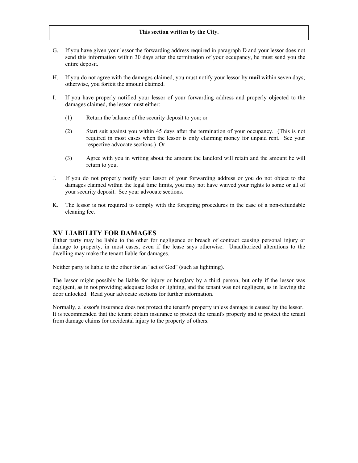- G. If you have given your lessor the forwarding address required in paragraph D and your lessor does not send this information within 30 days after the termination of your occupancy, he must send you the entire deposit.
- H. If you do not agree with the damages claimed, you must notify your lessor by **mail** within seven days; otherwise, you forfeit the amount claimed.
- I. If you have properly notified your lessor of your forwarding address and properly objected to the damages claimed, the lessor must either:
	- (1) Return the balance of the security deposit to you; or
	- (2) Start suit against you within 45 days after the termination of your occupancy. (This is not required in most cases when the lessor is only claiming money for unpaid rent. See your respective advocate sections.) Or
	- (3) Agree with you in writing about the amount the landlord will retain and the amount he will return to you.
- J. If you do not properly notify your lessor of your forwarding address or you do not object to the damages claimed within the legal time limits, you may not have waived your rights to some or all of your security deposit. See your advocate sections.
- K. The lessor is not required to comply with the foregoing procedures in the case of a non-refundable cleaning fee.

## **XV LIABILITY FOR DAMAGES**

Either party may be liable to the other for negligence or breach of contract causing personal injury or damage to property, in most cases, even if the lease says otherwise. Unauthorized alterations to the dwelling may make the tenant liable for damages.

Neither party is liable to the other for an "act of God" (such as lightning).

The lessor might possibly be liable for injury or burglary by a third person, but only if the lessor was negligent, as in not providing adequate locks or lighting, and the tenant was not negligent, as in leaving the door unlocked. Read your advocate sections for further information.

Normally, a lessor's insurance does not protect the tenant's property unless damage is caused by the lessor. It is recommended that the tenant obtain insurance to protect the tenant's property and to protect the tenant from damage claims for accidental injury to the property of others.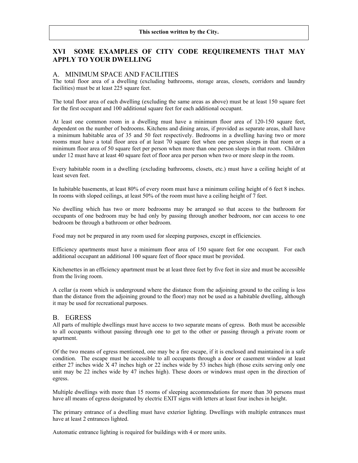# **XVI SOME EXAMPLES OF CITY CODE REQUIREMENTS THAT MAY APPLY TO YOUR DWELLING**

# A. MINIMUM SPACE AND FACILITIES

The total floor area of a dwelling (excluding bathrooms, storage areas, closets, corridors and laundry facilities) must be at least 225 square feet.

The total floor area of each dwelling (excluding the same areas as above) must be at least 150 square feet for the first occupant and 100 additional square feet for each additional occupant.

At least one common room in a dwelling must have a minimum floor area of 120-150 square feet, dependent on the number of bedrooms. Kitchens and dining areas, if provided as separate areas, shall have a minimum habitable area of 35 and 50 feet respectively. Bedrooms in a dwelling having two or more rooms must have a total floor area of at least 70 square feet when one person sleeps in that room or a minimum floor area of 50 square feet per person when more than one person sleeps in that room. Children under 12 must have at least 40 square feet of floor area per person when two or more sleep in the room.

Every habitable room in a dwelling (excluding bathrooms, closets, etc.) must have a ceiling height of at least seven feet.

In habitable basements, at least 80% of every room must have a minimum ceiling height of 6 feet 8 inches. In rooms with sloped ceilings, at least 50% of the room must have a ceiling height of 7 feet.

No dwelling which has two or more bedrooms may be arranged so that access to the bathroom for occupants of one bedroom may be had only by passing through another bedroom, nor can access to one bedroom be through a bathroom or other bedroom.

Food may not be prepared in any room used for sleeping purposes, except in efficiencies.

Efficiency apartments must have a minimum floor area of 150 square feet for one occupant. For each additional occupant an additional 100 square feet of floor space must be provided.

Kitchenettes in an efficiency apartment must be at least three feet by five feet in size and must be accessible from the living room.

A cellar (a room which is underground where the distance from the adjoining ground to the ceiling is less than the distance from the adjoining ground to the floor) may not be used as a habitable dwelling, although it may be used for recreational purposes.

## B. EGRESS

All parts of multiple dwellings must have access to two separate means of egress. Both must be accessible to all occupants without passing through one to get to the other or passing through a private room or apartment.

Of the two means of egress mentioned, one may be a fire escape, if it is enclosed and maintained in a safe condition. The escape must be accessible to all occupants through a door or casement window at least either 27 inches wide X 47 inches high or 22 inches wide by 53 inches high (those exits serving only one unit may be 22 inches wide by 47 inches high). These doors or windows must open in the direction of egress.

Multiple dwellings with more than 15 rooms of sleeping accommodations for more than 30 persons must have all means of egress designated by electric EXIT signs with letters at least four inches in height.

The primary entrance of a dwelling must have exterior lighting. Dwellings with multiple entrances must have at least 2 entrances lighted.

Automatic entrance lighting is required for buildings with 4 or more units.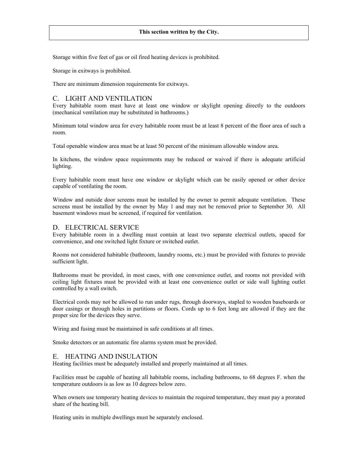Storage within five feet of gas or oil fired heating devices is prohibited.

Storage in exitways is prohibited.

There are minimum dimension requirements for exitways.

## C. LIGHT AND VENTILATION

Every habitable room must have at least one window or skylight opening directly to the outdoors (mechanical ventilation may be substituted in bathrooms.)

Minimum total window area for every habitable room must be at least 8 percent of the floor area of such a room.

Total openable window area must be at least 50 percent of the minimum allowable window area.

In kitchens, the window space requirements may be reduced or waived if there is adequate artificial lighting.

Every habitable room must have one window or skylight which can be easily opened or other device capable of ventilating the room.

Window and outside door screens must be installed by the owner to permit adequate ventilation. These screens must be installed by the owner by May 1 and may not be removed prior to September 30. All basement windows must be screened, if required for ventilation.

## D. ELECTRICAL SERVICE

Every habitable room in a dwelling must contain at least two separate electrical outlets, spaced for convenience, and one switched light fixture or switched outlet.

Rooms not considered habitable (bathroom, laundry rooms, etc.) must be provided with fixtures to provide sufficient light.

Bathrooms must be provided, in most cases, with one convenience outlet, and rooms not provided with ceiling light fixtures must be provided with at least one convenience outlet or side wall lighting outlet controlled by a wall switch.

Electrical cords may not be allowed to run under rugs, through doorways, stapled to wooden baseboards or door casings or through holes in partitions or floors. Cords up to 6 feet long are allowed if they are the proper size for the devices they serve.

Wiring and fusing must be maintained in safe conditions at all times.

Smoke detectors or an automatic fire alarms system must be provided.

## E. HEATING AND INSULATION

Heating facilities must be adequately installed and properly maintained at all times.

Facilities must be capable of heating all habitable rooms, including bathrooms, to 68 degrees F. when the temperature outdoors is as low as 10 degrees below zero.

When owners use temporary heating devices to maintain the required temperature, they must pay a prorated share of the heating bill.

Heating units in multiple dwellings must be separately enclosed.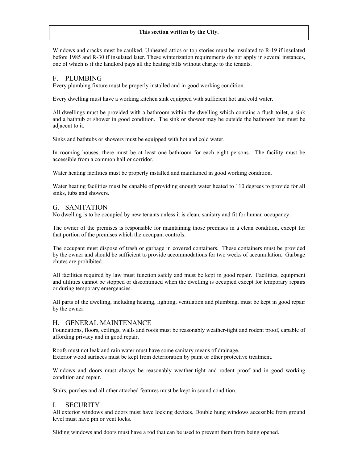Windows and cracks must be caulked. Unheated attics or top stories must be insulated to R-19 if insulated before 1985 and R-30 if insulated later. These winterization requirements do not apply in several instances, one of which is if the landlord pays all the heating bills without charge to the tenants.

## F. PLUMBING

Every plumbing fixture must be properly installed and in good working condition.

Every dwelling must have a working kitchen sink equipped with sufficient hot and cold water.

All dwellings must be provided with a bathroom within the dwelling which contains a flush toilet, a sink and a bathtub or shower in good condition. The sink or shower may be outside the bathroom but must be adjacent to it.

Sinks and bathtubs or showers must be equipped with hot and cold water.

In rooming houses, there must be at least one bathroom for each eight persons. The facility must be accessible from a common hall or corridor.

Water heating facilities must be properly installed and maintained in good working condition.

Water heating facilities must be capable of providing enough water heated to 110 degrees to provide for all sinks, tubs and showers.

## G. SANITATION

No dwelling is to be occupied by new tenants unless it is clean, sanitary and fit for human occupancy.

The owner of the premises is responsible for maintaining those premises in a clean condition, except for that portion of the premises which the occupant controls.

The occupant must dispose of trash or garbage in covered containers. These containers must be provided by the owner and should be sufficient to provide accommodations for two weeks of accumulation. Garbage chutes are prohibited.

All facilities required by law must function safely and must be kept in good repair. Facilities, equipment and utilities cannot be stopped or discontinued when the dwelling is occupied except for temporary repairs or during temporary emergencies.

All parts of the dwelling, including heating, lighting, ventilation and plumbing, must be kept in good repair by the owner.

## H. GENERAL MAINTENANCE

Foundations, floors, ceilings, walls and roofs must be reasonably weather-tight and rodent proof, capable of affording privacy and in good repair.

Roofs must not leak and rain water must have some sanitary means of drainage. Exterior wood surfaces must be kept from deterioration by paint or other protective treatment.

Windows and doors must always be reasonably weather-tight and rodent proof and in good working condition and repair.

Stairs, porches and all other attached features must be kept in sound condition.

## I. SECURITY

All exterior windows and doors must have locking devices. Double hung windows accessible from ground level must have pin or vent locks.

Sliding windows and doors must have a rod that can be used to prevent them from being opened.